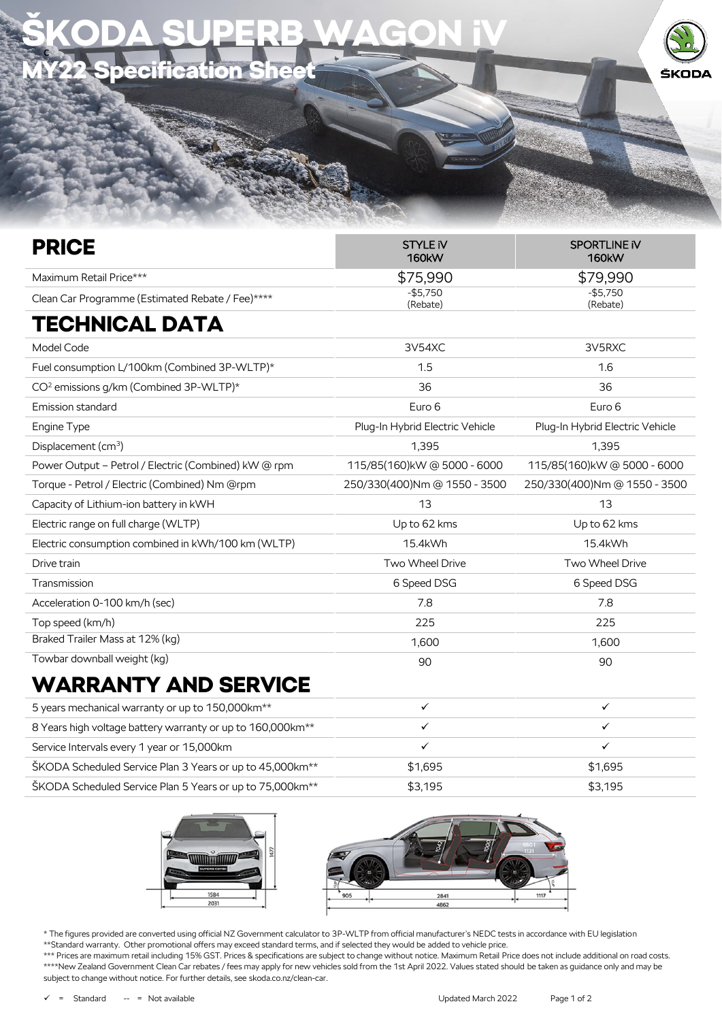

| <b>PRICE</b>                                         | <b>STYLE IV</b><br><b>160kW</b> | <b>SPORTLINE IV</b><br><b>160kW</b> |
|------------------------------------------------------|---------------------------------|-------------------------------------|
| Maximum Retail Price***                              | \$75,990                        | \$79,990                            |
| Clean Car Programme (Estimated Rebate / Fee)****     | $-$5,750$<br>(Rebate)           | $-$5,750$<br>(Rebate)               |
| TECHNICAL DATA                                       |                                 |                                     |
| Model Code                                           | 3V54XC                          | 3V5RXC                              |
| Fuel consumption L/100km (Combined 3P-WLTP)*         | 1.5                             | 1.6                                 |
| CO <sup>2</sup> emissions g/km (Combined 3P-WLTP)*   | 36                              | 36                                  |
| Emission standard                                    | Euro 6                          | Euro 6                              |
| Engine Type                                          | Plug-In Hybrid Electric Vehicle | Plug-In Hybrid Electric Vehicle     |
| Displacement (cm <sup>3</sup> )                      | 1,395                           | 1,395                               |
| Power Output - Petrol / Electric (Combined) kW @ rpm | 115/85(160)kW @ 5000 - 6000     | 115/85(160) kW @ 5000 - 6000        |
| Torque - Petrol / Electric (Combined) Nm @rpm        | 250/330(400)Nm @ 1550 - 3500    | 250/330(400)Nm @ 1550 - 3500        |
| Capacity of Lithium-ion battery in kWH               | 13                              | 13                                  |
| Electric range on full charge (WLTP)                 | Up to 62 kms                    | Up to 62 kms                        |
| Electric consumption combined in kWh/100 km (WLTP)   | 15.4kWh                         | 15.4kWh                             |
| Drive train                                          | Two Wheel Drive                 | Two Wheel Drive                     |
| Transmission                                         | 6 Speed DSG                     | 6 Speed DSG                         |
| Acceleration 0-100 km/h (sec)                        | 7.8                             | 7.8                                 |
| Top speed (km/h)                                     | 225                             | 225                                 |
| Braked Trailer Mass at 12% (kg)                      | 1,600                           | 1,600                               |
| Towbar downball weight (kg)                          | 90                              | 90                                  |
| WARRANTY AND SERVICE                                 |                                 |                                     |

| 5 years mechanical warranty or up to 150,000 km <sup>**</sup>           |         |         |
|-------------------------------------------------------------------------|---------|---------|
| 8 Years high voltage battery warranty or up to 160,000 km <sup>**</sup> |         |         |
| Service Intervals every 1 year or 15,000km                              |         |         |
| ŠKODA Scheduled Service Plan 3 Years or up to 45,000 km <sup>**</sup>   | \$1.695 | \$1.695 |
| ŠKODA Scheduled Service Plan 5 Years or up to 75,000km <sup>**</sup>    | \$3.195 | \$3,195 |





\* The figures provided are converted using official NZ Government calculator to 3P-WLTP from official manufacturer's NEDC tests in accordance with EU legislation \*\*Standard warranty. Other promotional offers may exceed standard terms, and if selected they would be added to vehicle price.

\*\*\* Prices are maximum retail including 15% GST. Prices & specifications are subject to change without notice. Maximum Retail Price does not include additional on road costs. \*\*\*\*New Zealand Government Clean Car rebates / fees may apply for new vehicles sold from the 1st April 2022. Values stated should be taken as guidance only and may be subject to change without notice. For further details, see skoda.co.nz/clean-car.